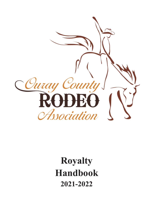

**Royalty Handbook 2021-2022**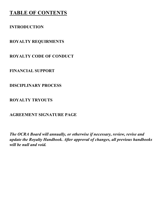## **TABLE OF CONTENTS**

## **INTRODUCTION**

**ROYALTY REQUIRMENTS**

**ROYALTY CODE OF CONDUCT** 

**FINANCIAL SUPPORT** 

**DISCIPLINARY PROCESS**

**ROYALTY TRYOUTS**

**AGREEMENT SIGNATURE PAGE** 

*The OCRA Board will annually, or otherwise if necessary, review, revise and update the Royalty Handbook. After approval of changes, all previous handbooks will be null and void.*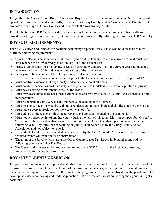#### **INTRODUCTION**

The goals of the Ouray County Rodeo Association Royalty are to provide young women in Ouray County with opportunities to develop leadership skills, to endorse the Ouray County Rodeo Association (OCRA) Rodeo, to promote the heritage of Ouray County and to celebrate the western way of life.

To hold the titles of OCRA Queen and Princess is not only an honor, but also a privilege. This handbook provides a set of guidelines for the Royalty to assist them in successfully fulfilling their roles as OCRA Royalty.

## **ROYALTY REQUIREMENTS:**

The OCRA Queen and Princess are positions with many responsibilities. Those who hold these titles must fulfill the following requirements:

- Queen contestants must be female, at least 13 years old by January 1st of the current year and must not have reached their 19<sup>th</sup> birthday as of January 1st of the current year.
- Princess contestants must be female, at least 9 years old by January 1st of the current year and must not have reached their 13<sup>th</sup> birthday as of January 1st of the current year.
- Family must be a member of the Ouray County Rodeo Association.
	- o Families may become members prior to the tryouts beginning for a membership fee of \$20
- Must positively represent Ouray County Rodeo Association at all times.
- Must conduct themselves professionally and as positive role models in all situations, public and private.
- Must have a strong commitment to the OCRA Rodeo.
- Must own/lease horse to be used during entire reign and royalty tryouts. Must furnish own tack and horse transportation.
- Must be congenial with everyone and supportive of each other at all times
- Must be single, never married, be without dependents and remain single and childless during their reign.
- Must have a deep appreciation for the western way of life.
- Must adhere to the responsibilities, requirements and conduct included in this handbook.
- Must not be rodeo royalty of another county during the term of this reign. May not compete for "Queen" or "Princess" if they served as that position the previous year. Any "Attendant" position may tryout the following year. Any questions concerning eligibility shall be decided by the Ouray County Rodeo Association and not subject to appeal.
- Be available for all required attended events deemed by the OCRA board. An unexcused absence from required events will result in disciplinary action.
- The reign of the Royalty will start at the Ouray County Labor Day Rodeo in September and end the following year at the Labor Day Rodeo.
- The Queen and Princess will introduce themselves to the OCRA Board at the first Board meeting immediately following the coronation.

## **ROYALTY PARENTS/GUARDIANS**

The parents or guardians of the applicant shall also sign the application for Royalty if she is under the age of 18 to ensure their knowledge of the expectations of the position. Parents or guardians provide essential guidance as members of the support team; however, the intent of the program is to provide the Royalty with opportunities to develop their decision-making and leadership qualities. We appreciate parents supporting their youth in royalty positions!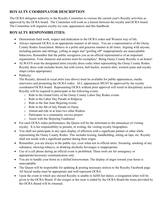### **ROYALTY COORDINATOR DESCRIPTION**

The OCRA delegates authority to the Royalty Committee to oversee the current year's Royalty activities as approved by the OCRA board. The Committee will work as a liaison between the royalty and OCRA board. The Committee will organize royalty try-outs, appearances and this handbook.

### **ROYALTY RESPONSIBILITIES:**

- Demonstrate hard work, respect and dedication to the OCRA rodeo and Western way of life.
- Always represent OCRA in an appropriate manner at all times. You are a representative of the Ouray County Rodeo Association. Behave in a polite and gracious manner at all times. Arguing with anyone, including parents and siblings, yelling in anger and "goofing off" inappropriately are unacceptable behaviors. Remember that the public recognizes you as an official representative of an important organization. Your character and actions must be exemplary! Being Ouray County Royalty is an honor!
- ALWAYS wear the designated attire (royalty dress code) when representing the Ouray County Rodeo. Royalty dress code includes boots, hat with crown, belt buckle, western shirt, western jeans and royalty chaps (when appropriate).
- Publicity:

The Royalty, dressed in royal attire (see above) must be available for public appearances, media interviews and promoting the OCRA rodeo. ALL appearances MUST be approved by the royalty coordinator/OCRA board. Representing OCRA without prior approval will result in disciplinary action. Royalty will be required to participate in the following events.

- o Ride in the Grand Entry of the Ouray County Labor Day Rodeo events
- o Ride in the Labor Day Parade in Ridgway
- o Ride in the San Juan Skijoring events
- o Ride in the 4th of July Parade in Ouray
- o Attend and ride in at least two other Rodeos
- o Participate in a community service project
- o Assist with the Skijoring Fundraiser
- For each OCRA rodeo performance, the Queen will be the informant to the announcer of visiting royalty. It is her responsibility to present, in writing, the visiting royalty biographies.
- You shall not participate in any open display of affection with a significant partner or other while representing the Ouray County Rodeo. This includes kissing, handholding, sitting on laps, etc. Royalty shall not reside with a significant partner during their reigns.
- Remember, you are always in the public eye, even when not in official attire. Swearing, smoking of any substance, chewing tobacco, or drinking alcoholic beverages is inappropriate.
- Use of a cell phone during an official event is prohibited. These tools are for emergency or appropriate/necessary communication only.
- You are to handle your horse as a skilled horsewoman. The display of anger toward your horse is unacceptable.
- The Queen will be responsible for updating & posting necessary notices to the Royalty Facebook page. All Social media must be appropriate and well-represent OCRA.
- Upon the event in which any elected Royalty is unable to fulfill her duties, a resignation letter will be given to the OCRA Board. If she resigns or her term is ended by the OCRA Board the items provided by the OCRA Board will be returned.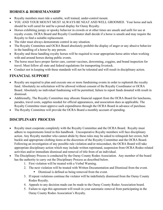### **HORSES & HORSEMANSHIP**

- Royalty members must ride a suitable, well trained, under-control mount.
- YOU AND YOUR MOUNT MUST ALWAYS BE NEAT AND WELL GROOMED. Your horse and tack should be well cared for and be a proud display for Ouray Royalty.
- Horses exhibiting jumpy or spooky behavior in crowds or at other times are unsafe and unfit for use at royalty events. OCRA Board and Royalty Coordinator shall decide if a horse is unsafe and may require the Royalty to find a suitable replacement.
- The rider must always demonstrate control in any situation.
- The Royalty Committee and OCRA Board absolutely prohibit the display of anger or any abusive behavior in the handling of a horse by any person.
- Royalty and those handling royalty horses will be required to wear appropriate horse attire when working with and around horses during public events.
- The horse must have proper farrier care, current vaccines, deworming, coggins, and brand inspection for travel. Must follow all state and federal regulations for transporting livestock.
- Conduct not in keeping with these standards will not be tolerated and will result in disciplinary action.

## **FINANCIAL SUPPORT**

- Royalty are required to plan and execute one or more fundraising events in order to replenish the royalty fund. Absolutely no solicitation will be allowed without consent of the Royalty Coordinator or OCRA Board. Absolutely no individual fundraising will be permitted, failure to report funds donated with result in dismissal.
- Additionally, The Royalty Committee may allocate financial support from the OCRA Board for luncheons, parades, travel costs, supplies needed for official appearances, and association dues as applicable. The Royalty Committee must approve such expenditures through the OCRA Board in advance of purchase.
- The Royalty Committee will provide the OCRA Board a monthly account of spending.

## **DISCIPLINARY PROCESS**

- Royalty must cooperate completely with the Royalty Committee and the OCRA Board. Royalty must adhere to requirements listed in this handbook. Uncooperative Royalty members will face disciplinary action. Any Royalty member who cannot abide by these rules may be asked to relinquish her crown, belt buckle and appropriate clothing items at the discretion of the Royalty Committee and the OCRA Board. Following an investigation of any possible rule violation and/or misconduct, the OCRA Board will take appropriate disciplinary action which may include written reprimand, suspension from OCRA Rodeo related activities and/or immediate dismissal and removal of title from of an individual.
- The Disciplinary Process is conducted by the Ouray County Rodeo Association. Any member of the board has the authority to carry out the Disciplinary Process as described below.
	- 1. First violation will be treated with a Verbal Warning.
	- 2. The next violation will be treated with Written Documentation and Dismissal from the event.
		- Dismissal is defined as being removed from the event.
	- 3. If repeat violations continue the violator will be indefinitely dismissed from the Ouray County Rodeo Royalty.
	- 4. Appeals to any decision made can be made to the Ouray County Rodeo Association board.
	- 5. Failure to sign this agreement will result in your automatic removal from participating in the Ouray County Rodeo Association's Royalty.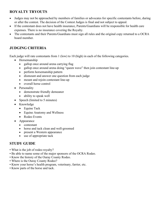#### **ROYALTY TRYOUTS**

- Judges may not be approached by members of families or advocates for specific contestants before, during or after the contest. The decision of the Contest Judges is final and not subject to appeal.
- If the contestant does not have health insurance, Parents/Guardians will be responsible for health care expenses. There is no insurance covering the Royalty.
- The contestants and their Parents/Guardians must sign all rules and the original copy returned to a OCRA board member.

### **JUDGING CRITERIA**

Each judge will rate contestants from 1 (low) to 10 (high) in each of the following categories.

- Horsemanship
	- gallop once around arena carrying flag
	- gallop once around arena doing "queen wave" then join contestant line-up
	- perform horsemanship pattern
	- dismount and answer one question from each judge
	- mount and rejoin contestant line-up
	- overall horse control
- Personality
	- demonstrate friendly demeanor
	- ability to speak well
- Speech (limited to 5 minutes)
- Knowledge
	- Equine Tack
	- Equine Anatomy and Wellness
	- Rodeo Events
- Appearance
	- contestant
	- horse and tack clean and well-groomed
	- present a Western appearance
	- use of appropriate tack

#### **STUDY GUIDE**

- What is the job of rodeo royalty?
- Be able to name some of the major sponsors of the OCRA Rodeo.
- Know the history of the Ouray County Rodeo.
- Where is the Ouray County Rodeo?
- Know your horse's health program, veterinary, farrier, etc.
- Know parts of the horse and tack.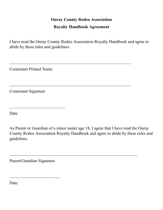# **Ouray County Rodeo Association Royalty Handbook Agreement**

I have read the Ouray County Rodeo Association Royalty Handbook and agree to abide by these rules and guidelines.

 $\mathcal{L}_\text{max}$  , and the contract of the contract of the contract of the contract of the contract of the contract of the contract of the contract of the contract of the contract of the contract of the contract of the contr

 $\mathcal{L}_\text{max}$  , and the contract of the contract of the contract of the contract of the contract of the contract of the contract of the contract of the contract of the contract of the contract of the contract of the contr

Contestant Printed Name

Contestant Signature

 $\mathcal{L}_\text{max}$  , which is a set of the set of the set of the set of the set of the set of the set of the set of the set of the set of the set of the set of the set of the set of the set of the set of the set of the set of

Date

As Parent or Guardian of a minor under age 18, I agree that I have read the Ouray County Rodeo Association Royalty Handbook and agree to abide by these rules and guidelines.

 $\mathcal{L}_\text{max}$  , and the contract of the contract of the contract of the contract of the contract of the contract of the contract of the contract of the contract of the contract of the contract of the contract of the contr

Parent/Guardian Signature

 $\overline{\phantom{a}}$  , which is a set of the set of the set of the set of the set of the set of the set of the set of the set of the set of the set of the set of the set of the set of the set of the set of the set of the set of th

Date